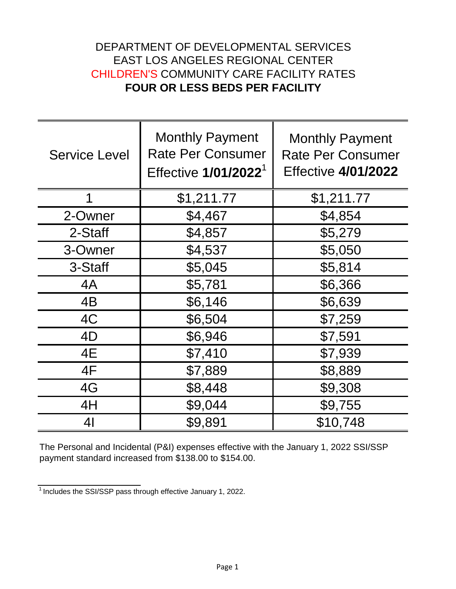## DEPARTMENT OF DEVELOPMENTAL SERVICES EAST LOS ANGELES REGIONAL CENTER CHILDREN'S COMMUNITY CARE FACILITY RATES **FOUR OR LESS BEDS PER FACILITY**

| <b>Service Level</b> | <b>Monthly Payment</b><br><b>Rate Per Consumer</b><br>Effective 1/01/2022 <sup>1</sup> | <b>Monthly Payment</b><br><b>Rate Per Consumer</b><br><b>Effective 4/01/2022</b> |
|----------------------|----------------------------------------------------------------------------------------|----------------------------------------------------------------------------------|
| 1                    | \$1,211.77                                                                             | \$1,211.77                                                                       |
| 2-Owner              | \$4,467                                                                                | \$4,854                                                                          |
| 2-Staff              | \$4,857                                                                                | \$5,279                                                                          |
| 3-Owner              | \$4,537                                                                                | \$5,050                                                                          |
| 3-Staff              | \$5,045                                                                                | \$5,814                                                                          |
| 4A                   | \$5,781                                                                                | \$6,366                                                                          |
| 4B                   | \$6,146                                                                                | \$6,639                                                                          |
| 4C                   | \$6,504                                                                                | \$7,259                                                                          |
| 4D                   | \$6,946                                                                                | \$7,591                                                                          |
| 4E                   | \$7,410                                                                                | \$7,939                                                                          |
| 4F                   | \$7,889                                                                                | \$8,889                                                                          |
| 4G                   | \$8,448                                                                                | \$9,308                                                                          |
| 4H                   | \$9,044                                                                                | \$9,755                                                                          |
| 4 <sub>l</sub>       | \$9,891                                                                                | \$10,748                                                                         |

The Personal and Incidental (P&I) expenses effective with the January 1, 2022 SSI/SSP payment standard increased from \$138.00 to \$154.00.

 $\frac{1}{1}$ Includes the SSI/SSP pass through effective January 1, 2022.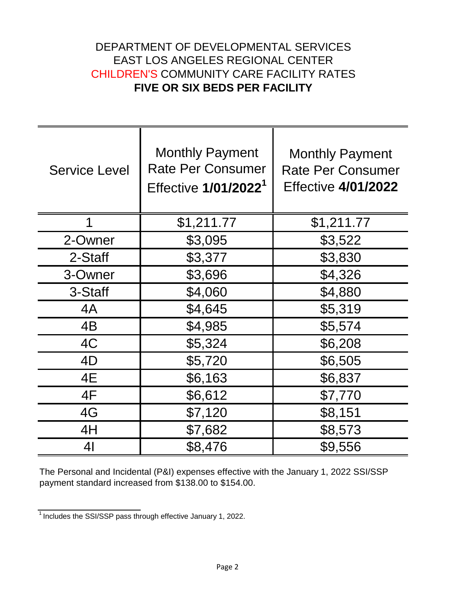## DEPARTMENT OF DEVELOPMENTAL SERVICES EAST LOS ANGELES REGIONAL CENTER CHILDREN'S COMMUNITY CARE FACILITY RATES **FIVE OR SIX BEDS PER FACILITY**

| <b>Service Level</b> | <b>Monthly Payment</b><br><b>Rate Per Consumer</b><br>Effective 1/01/2022 <sup>1</sup> | <b>Monthly Payment</b><br><b>Rate Per Consumer</b><br><b>Effective 4/01/2022</b> |
|----------------------|----------------------------------------------------------------------------------------|----------------------------------------------------------------------------------|
| 1                    | \$1,211.77                                                                             | \$1,211.77                                                                       |
| 2-Owner              | \$3,095                                                                                | \$3,522                                                                          |
| 2-Staff              | \$3,377                                                                                | \$3,830                                                                          |
| 3-Owner              | \$3,696                                                                                | \$4,326                                                                          |
| 3-Staff              | \$4,060                                                                                | \$4,880                                                                          |
| 4A                   | \$4,645                                                                                | \$5,319                                                                          |
| 4B                   | \$4,985                                                                                | \$5,574                                                                          |
| 4C                   | \$5,324                                                                                | \$6,208                                                                          |
| 4D                   | \$5,720                                                                                | \$6,505                                                                          |
| 4E                   | \$6,163                                                                                | \$6,837                                                                          |
| 4F                   | \$6,612                                                                                | \$7,770                                                                          |
| 4G                   | \$7,120                                                                                | \$8,151                                                                          |
| 4H                   | \$7,682                                                                                | \$8,573                                                                          |
| 41                   | \$8,476                                                                                | \$9,556                                                                          |

The Personal and Incidental (P&I) expenses effective with the January 1, 2022 SSI/SSP payment standard increased from \$138.00 to \$154.00.

 $\frac{1}{1}$  Includes the SSI/SSP pass through effective January 1, 2022.